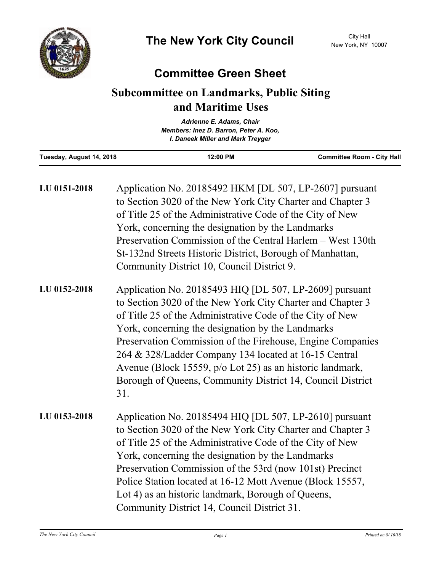

## **Committee Green Sheet**

## **Subcommittee on Landmarks, Public Siting and Maritime Uses**

| Adrienne E. Adams, Chair |                                                                             |                                   |
|--------------------------|-----------------------------------------------------------------------------|-----------------------------------|
|                          | Members: Inez D. Barron, Peter A. Koo,<br>I. Daneek Miller and Mark Treyger |                                   |
|                          |                                                                             |                                   |
| Tuesday, August 14, 2018 | 12:00 PM                                                                    | <b>Committee Room - City Hall</b> |

| LU 0151-2018 | Application No. 20185492 HKM [DL 507, LP-2607] pursuant<br>to Section 3020 of the New York City Charter and Chapter 3<br>of Title 25 of the Administrative Code of the City of New<br>York, concerning the designation by the Landmarks<br>Preservation Commission of the Central Harlem – West 130th<br>St-132nd Streets Historic District, Borough of Manhattan,<br>Community District 10, Council District 9.                                                                                 |
|--------------|--------------------------------------------------------------------------------------------------------------------------------------------------------------------------------------------------------------------------------------------------------------------------------------------------------------------------------------------------------------------------------------------------------------------------------------------------------------------------------------------------|
| LU 0152-2018 | Application No. 20185493 HIQ [DL 507, LP-2609] pursuant<br>to Section 3020 of the New York City Charter and Chapter 3<br>of Title 25 of the Administrative Code of the City of New<br>York, concerning the designation by the Landmarks<br>Preservation Commission of the Firehouse, Engine Companies<br>264 & 328/Ladder Company 134 located at 16-15 Central<br>Avenue (Block 15559, p/o Lot 25) as an historic landmark,<br>Borough of Queens, Community District 14, Council District<br>31. |
| LU 0153-2018 | Application No. 20185494 HIQ [DL 507, LP-2610] pursuant<br>to Section 3020 of the New York City Charter and Chapter 3<br>of Title 25 of the Administrative Code of the City of New<br>York, concerning the designation by the Landmarks<br>Preservation Commission of the 53rd (now 101st) Precinct<br>Police Station located at 16-12 Mott Avenue (Block 15557,<br>Lot 4) as an historic landmark, Borough of Queens,<br>Community District 14, Council District 31.                            |